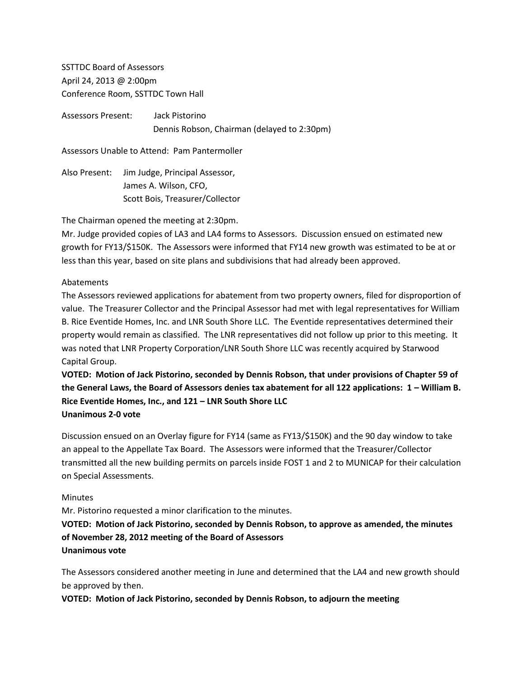SSTTDC Board of Assessors April 24, 2013 @ 2:00pm Conference Room, SSTTDC Town Hall

Assessors Present: Jack Pistorino Dennis Robson, Chairman (delayed to 2:30pm)

Assessors Unable to Attend: Pam Pantermoller

Also Present: Jim Judge, Principal Assessor, James A. Wilson, CFO, Scott Bois, Treasurer/Collector

The Chairman opened the meeting at 2:30pm.

Mr. Judge provided copies of LA3 and LA4 forms to Assessors. Discussion ensued on estimated new growth for FY13/\$150K. The Assessors were informed that FY14 new growth was estimated to be at or less than this year, based on site plans and subdivisions that had already been approved.

## Abatements

The Assessors reviewed applications for abatement from two property owners, filed for disproportion of value. The Treasurer Collector and the Principal Assessor had met with legal representatives for William B. Rice Eventide Homes, Inc. and LNR South Shore LLC. The Eventide representatives determined their property would remain as classified. The LNR representatives did not follow up prior to this meeting. It was noted that LNR Property Corporation/LNR South Shore LLC was recently acquired by Starwood Capital Group.

**VOTED: Motion of Jack Pistorino, seconded by Dennis Robson, that under provisions of Chapter 59 of the General Laws, the Board of Assessors denies tax abatement for all 122 applications: 1 – William B. Rice Eventide Homes, Inc., and 121 – LNR South Shore LLC Unanimous 2-0 vote**

Discussion ensued on an Overlay figure for FY14 (same as FY13/\$150K) and the 90 day window to take an appeal to the Appellate Tax Board. The Assessors were informed that the Treasurer/Collector transmitted all the new building permits on parcels inside FOST 1 and 2 to MUNICAP for their calculation on Special Assessments.

## Minutes

Mr. Pistorino requested a minor clarification to the minutes.

**VOTED: Motion of Jack Pistorino, seconded by Dennis Robson, to approve as amended, the minutes of November 28, 2012 meeting of the Board of Assessors Unanimous vote**

The Assessors considered another meeting in June and determined that the LA4 and new growth should be approved by then.

**VOTED: Motion of Jack Pistorino, seconded by Dennis Robson, to adjourn the meeting**